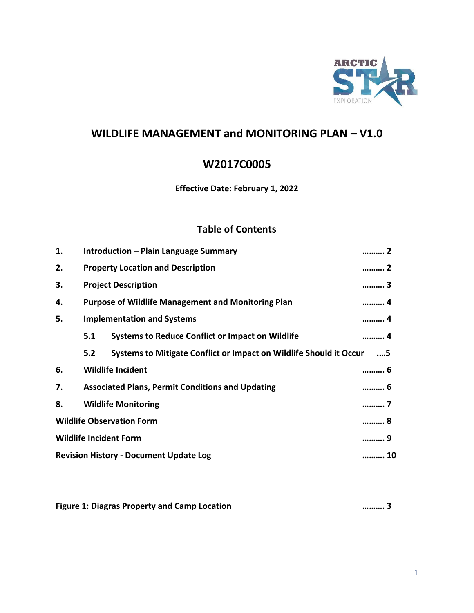

# **WILDLIFE MANAGEMENT and MONITORING PLAN – V1.0**

# **W2017C0005**

#### **Effective Date: February 1, 2022**

## **Table of Contents**

| Introduction – Plain Language Summary<br>……… 2                     |                                                         |                                                                                                |  |
|--------------------------------------------------------------------|---------------------------------------------------------|------------------------------------------------------------------------------------------------|--|
| <b>Property Location and Description</b><br>2                      |                                                         |                                                                                                |  |
| <b>Project Description</b><br>……… 3                                |                                                         |                                                                                                |  |
| <b>Purpose of Wildlife Management and Monitoring Plan</b><br>……… 4 |                                                         |                                                                                                |  |
| <b>Implementation and Systems</b><br>4                             |                                                         |                                                                                                |  |
| 5.1                                                                | <b>Systems to Reduce Conflict or Impact on Wildlife</b> | . 4                                                                                            |  |
| 5.2                                                                |                                                         | …5                                                                                             |  |
|                                                                    |                                                         | ……… 6                                                                                          |  |
| <b>Associated Plans, Permit Conditions and Updating</b><br>……… 6   |                                                         |                                                                                                |  |
| <b>Wildlife Monitoring</b><br>7                                    |                                                         |                                                                                                |  |
| <b>Wildlife Observation Form</b><br>8                              |                                                         |                                                                                                |  |
| <b>Wildlife Incident Form</b><br>                                  |                                                         |                                                                                                |  |
| <b>Revision History - Document Update Log</b>                      |                                                         |                                                                                                |  |
|                                                                    |                                                         | Systems to Mitigate Conflict or Impact on Wildlife Should it Occur<br><b>Wildlife Incident</b> |  |

**Figure 1: Diagras Property and Camp Location ………. 3**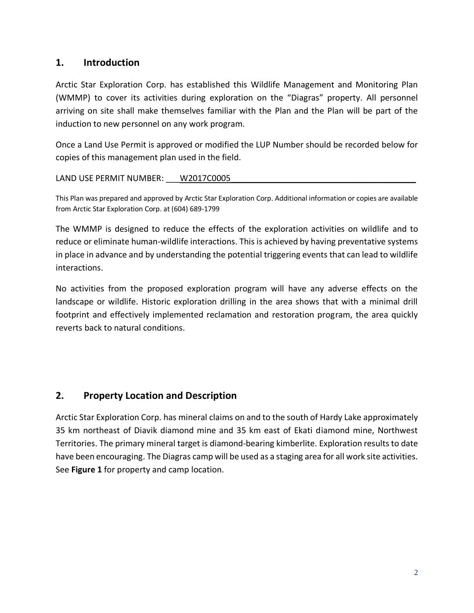### **1. Introduction**

Arctic Star Exploration Corp. has established this Wildlife Management and Monitoring Plan (WMMP) to cover its activities during exploration on the "Diagras" property. All personnel arriving on site shall make themselves familiar with the Plan and the Plan will be part of the induction to new personnel on any work program.

Once a Land Use Permit is approved or modified the LUP Number should be recorded below for copies of this management plan used in the field.

LAND USE PERMIT NUMBER: W2017C0005

This Plan was prepared and approved by Arctic Star Exploration Corp. Additional information or copies are available from Arctic Star Exploration Corp. at (604) 689-1799

The WMMP is designed to reduce the effects of the exploration activities on wildlife and to reduce or eliminate human-wildlife interactions. This is achieved by having preventative systems in place in advance and by understanding the potential triggering events that can lead to wildlife interactions.

No activities from the proposed exploration program will have any adverse effects on the landscape or wildlife. Historic exploration drilling in the area shows that with a minimal drill footprint and effectively implemented reclamation and restoration program, the area quickly reverts back to natural conditions.

## **2. Property Location and Description**

Arctic Star Exploration Corp. has mineral claims on and to the south of Hardy Lake approximately 35 km northeast of Diavik diamond mine and 35 km east of Ekati diamond mine, Northwest Territories. The primary mineral target is diamond-bearing kimberlite. Exploration results to date have been encouraging. The Diagras camp will be used as a staging area for all work site activities. See **Figure 1** for property and camp location.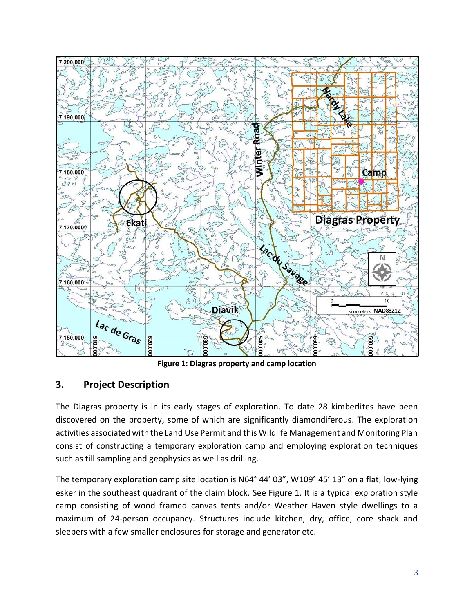

**Figure 1: Diagras property and camp location**

## **3. Project Description**

The Diagras property is in its early stages of exploration. To date 28 kimberlites have been discovered on the property, some of which are significantly diamondiferous. The exploration activities associated with the Land Use Permit and this Wildlife Management and Monitoring Plan consist of constructing a temporary exploration camp and employing exploration techniques such as till sampling and geophysics as well as drilling.

The temporary exploration camp site location is N64° 44' 03", W109° 45' 13" on a flat, low-lying esker in the southeast quadrant of the claim block. See Figure 1. It is a typical exploration style camp consisting of wood framed canvas tents and/or Weather Haven style dwellings to a maximum of 24-person occupancy. Structures include kitchen, dry, office, core shack and sleepers with a few smaller enclosures for storage and generator etc.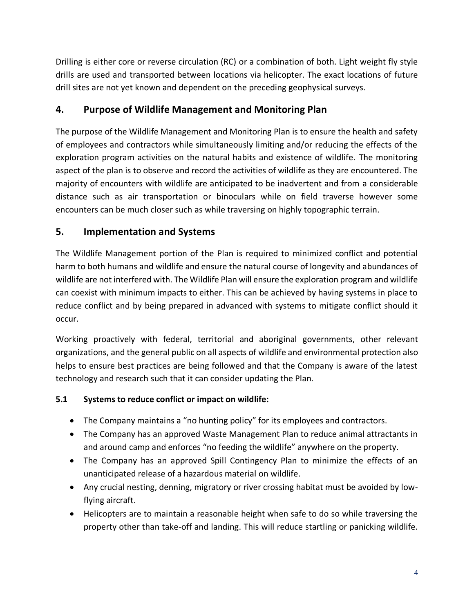Drilling is either core or reverse circulation (RC) or a combination of both. Light weight fly style drills are used and transported between locations via helicopter. The exact locations of future drill sites are not yet known and dependent on the preceding geophysical surveys.

# **4. Purpose of Wildlife Management and Monitoring Plan**

The purpose of the Wildlife Management and Monitoring Plan is to ensure the health and safety of employees and contractors while simultaneously limiting and/or reducing the effects of the exploration program activities on the natural habits and existence of wildlife. The monitoring aspect of the plan is to observe and record the activities of wildlife as they are encountered. The majority of encounters with wildlife are anticipated to be inadvertent and from a considerable distance such as air transportation or binoculars while on field traverse however some encounters can be much closer such as while traversing on highly topographic terrain.

## **5. Implementation and Systems**

The Wildlife Management portion of the Plan is required to minimized conflict and potential harm to both humans and wildlife and ensure the natural course of longevity and abundances of wildlife are not interfered with. The Wildlife Plan will ensure the exploration program and wildlife can coexist with minimum impacts to either. This can be achieved by having systems in place to reduce conflict and by being prepared in advanced with systems to mitigate conflict should it occur.

Working proactively with federal, territorial and aboriginal governments, other relevant organizations, and the general public on all aspects of wildlife and environmental protection also helps to ensure best practices are being followed and that the Company is aware of the latest technology and research such that it can consider updating the Plan.

#### **5.1 Systems to reduce conflict or impact on wildlife:**

- The Company maintains a "no hunting policy" for its employees and contractors.
- The Company has an approved Waste Management Plan to reduce animal attractants in and around camp and enforces "no feeding the wildlife" anywhere on the property.
- The Company has an approved Spill Contingency Plan to minimize the effects of an unanticipated release of a hazardous material on wildlife.
- Any crucial nesting, denning, migratory or river crossing habitat must be avoided by lowflying aircraft.
- Helicopters are to maintain a reasonable height when safe to do so while traversing the property other than take-off and landing. This will reduce startling or panicking wildlife.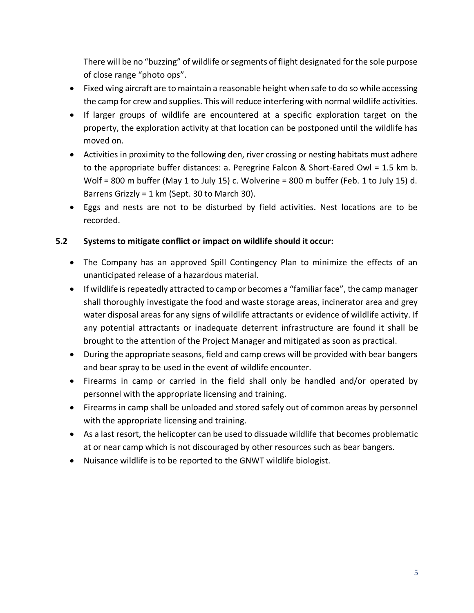There will be no "buzzing" of wildlife or segments of flight designated for the sole purpose of close range "photo ops".

- Fixed wing aircraft are to maintain a reasonable height when safe to do so while accessing the camp for crew and supplies. This will reduce interfering with normal wildlife activities.
- If larger groups of wildlife are encountered at a specific exploration target on the property, the exploration activity at that location can be postponed until the wildlife has moved on.
- Activities in proximity to the following den, river crossing or nesting habitats must adhere to the appropriate buffer distances: a. Peregrine Falcon & Short-Eared Owl = 1.5 km b. Wolf = 800 m buffer (May 1 to July 15) c. Wolverine = 800 m buffer (Feb. 1 to July 15) d. Barrens Grizzly = 1 km (Sept. 30 to March 30).
- Eggs and nests are not to be disturbed by field activities. Nest locations are to be recorded.

#### **5.2 Systems to mitigate conflict or impact on wildlife should it occur:**

- The Company has an approved Spill Contingency Plan to minimize the effects of an unanticipated release of a hazardous material.
- If wildlife is repeatedly attracted to camp or becomes a "familiar face", the camp manager shall thoroughly investigate the food and waste storage areas, incinerator area and grey water disposal areas for any signs of wildlife attractants or evidence of wildlife activity. If any potential attractants or inadequate deterrent infrastructure are found it shall be brought to the attention of the Project Manager and mitigated as soon as practical.
- During the appropriate seasons, field and camp crews will be provided with bear bangers and bear spray to be used in the event of wildlife encounter.
- Firearms in camp or carried in the field shall only be handled and/or operated by personnel with the appropriate licensing and training.
- Firearms in camp shall be unloaded and stored safely out of common areas by personnel with the appropriate licensing and training.
- As a last resort, the helicopter can be used to dissuade wildlife that becomes problematic at or near camp which is not discouraged by other resources such as bear bangers.
- Nuisance wildlife is to be reported to the GNWT wildlife biologist.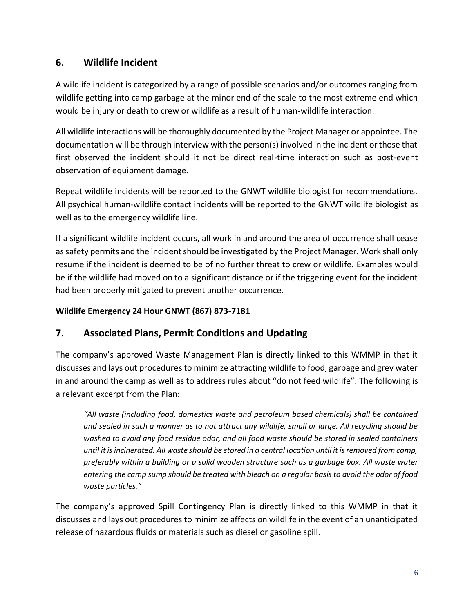# **6. Wildlife Incident**

A wildlife incident is categorized by a range of possible scenarios and/or outcomes ranging from wildlife getting into camp garbage at the minor end of the scale to the most extreme end which would be injury or death to crew or wildlife as a result of human-wildlife interaction.

All wildlife interactions will be thoroughly documented by the Project Manager or appointee. The documentation will be through interview with the person(s) involved in the incident or those that first observed the incident should it not be direct real-time interaction such as post-event observation of equipment damage.

Repeat wildlife incidents will be reported to the GNWT wildlife biologist for recommendations. All psychical human-wildlife contact incidents will be reported to the GNWT wildlife biologist as well as to the emergency wildlife line.

If a significant wildlife incident occurs, all work in and around the area of occurrence shall cease as safety permits and the incident should be investigated by the Project Manager. Work shall only resume if the incident is deemed to be of no further threat to crew or wildlife. Examples would be if the wildlife had moved on to a significant distance or if the triggering event for the incident had been properly mitigated to prevent another occurrence.

#### **Wildlife Emergency 24 Hour GNWT (867) 873-7181**

## **7. Associated Plans, Permit Conditions and Updating**

The company's approved Waste Management Plan is directly linked to this WMMP in that it discusses and lays out procedures to minimize attracting wildlife to food, garbage and grey water in and around the camp as well as to address rules about "do not feed wildlife". The following is a relevant excerpt from the Plan:

*"All waste (including food, domestics waste and petroleum based chemicals) shall be contained and sealed in such a manner as to not attract any wildlife, small or large. All recycling should be washed to avoid any food residue odor, and all food waste should be stored in sealed containers until it is incinerated. All waste should be stored in a central location until it is removed from camp, preferably within a building or a solid wooden structure such as a garbage box. All waste water entering the camp sump should be treated with bleach on a regular basis to avoid the odor of food waste particles."*

The company's approved Spill Contingency Plan is directly linked to this WMMP in that it discusses and lays out procedures to minimize affects on wildlife in the event of an unanticipated release of hazardous fluids or materials such as diesel or gasoline spill.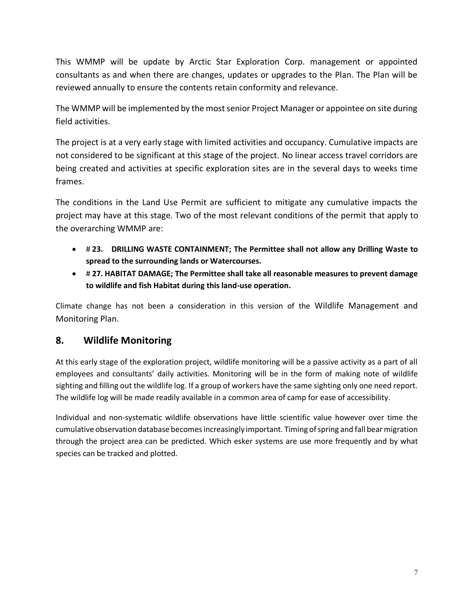This WMMP will be update by Arctic Star Exploration Corp. management or appointed consultants as and when there are changes, updates or upgrades to the Plan. The Plan will be reviewed annually to ensure the contents retain conformity and relevance.

The WMMP will be implemented by the most senior Project Manager or appointee on site during field activities.

The project is at a very early stage with limited activities and occupancy. Cumulative impacts are not considered to be significant at this stage of the project. No linear access travel corridors are being created and activities at specific exploration sites are in the several days to weeks time frames.

The conditions in the Land Use Permit are sufficient to mitigate any cumulative impacts the project may have at this stage. Two of the most relevant conditions of the permit that apply to the overarching WMMP are:

- # **23. DRILLING WASTE CONTAINMENT; The Permittee shall not allow any Drilling Waste to spread to the surrounding lands or Watercourses.**
- # **27. HABITAT DAMAGE; The Permittee shall take all reasonable measures to prevent damage to wildlife and fish Habitat during this land-use operation.**

Climate change has not been a consideration in this version of the Wildlife Management and Monitoring Plan.

## **8. Wildlife Monitoring**

At this early stage of the exploration project, wildlife monitoring will be a passive activity as a part of all employees and consultants' daily activities. Monitoring will be in the form of making note of wildlife sighting and filling out the wildlife log. If a group of workers have the same sighting only one need report. The wildlife log will be made readily available in a common area of camp for ease of accessibility.

Individual and non-systematic wildlife observations have little scientific value however over time the cumulative observation database becomes increasingly important. Timing of spring and fall bear migration through the project area can be predicted. Which esker systems are use more frequently and by what species can be tracked and plotted.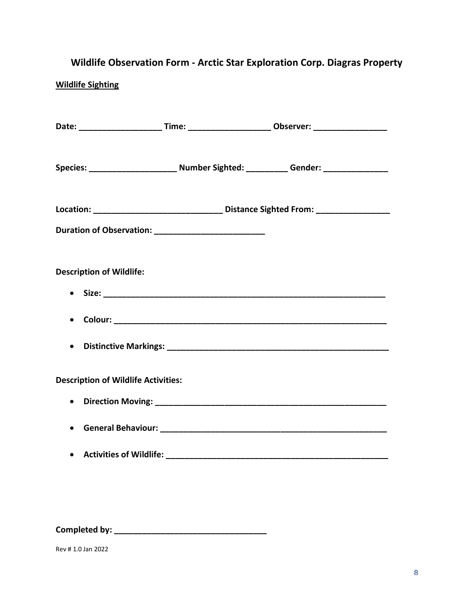# **Wildlife Observation Form - Arctic Star Exploration Corp. Diagras Property**

#### **Wildlife Sighting**

|                                            |                                 |  | Date: __________________________Time: ____________________________Observer: _______________________ |  |  |  |  |
|--------------------------------------------|---------------------------------|--|-----------------------------------------------------------------------------------------------------|--|--|--|--|
|                                            |                                 |  | Species: ________________________ Number Sighted: __________ Gender: ___________                    |  |  |  |  |
|                                            |                                 |  | Location: __________________________________ Distance Sighted From: ____________                    |  |  |  |  |
|                                            |                                 |  |                                                                                                     |  |  |  |  |
|                                            |                                 |  |                                                                                                     |  |  |  |  |
|                                            | <b>Description of Wildlife:</b> |  |                                                                                                     |  |  |  |  |
| $\bullet$                                  |                                 |  |                                                                                                     |  |  |  |  |
| $\bullet$                                  |                                 |  |                                                                                                     |  |  |  |  |
| $\bullet$                                  |                                 |  |                                                                                                     |  |  |  |  |
| <b>Description of Wildlife Activities:</b> |                                 |  |                                                                                                     |  |  |  |  |
| $\bullet$                                  |                                 |  |                                                                                                     |  |  |  |  |
| $\bullet$                                  |                                 |  |                                                                                                     |  |  |  |  |
| $\bullet$                                  |                                 |  |                                                                                                     |  |  |  |  |
|                                            |                                 |  |                                                                                                     |  |  |  |  |

**Completed by: \_\_\_\_\_\_\_\_\_\_\_\_\_\_\_\_\_\_\_\_\_\_\_\_\_\_\_\_\_\_\_\_\_**

Rev # 1.0 Jan 2022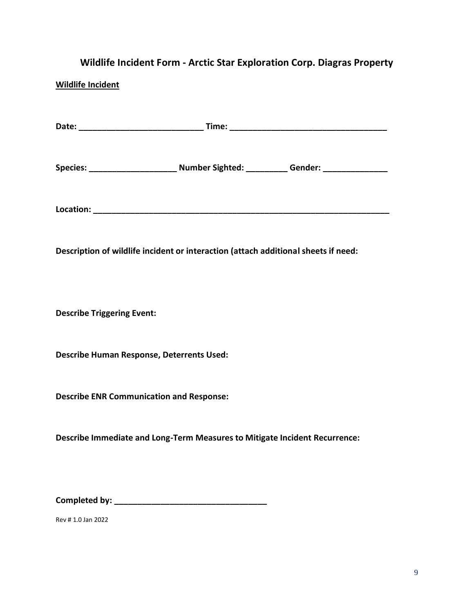# **Wildlife Incident Form - Arctic Star Exploration Corp. Diagras Property**

### **Wildlife Incident**

|                                                                                    | Species: _________________________ Number Sighted: ___________ Gender: _______________ |
|------------------------------------------------------------------------------------|----------------------------------------------------------------------------------------|
|                                                                                    |                                                                                        |
| Description of wildlife incident or interaction (attach additional sheets if need: |                                                                                        |
| <b>Describe Triggering Event:</b>                                                  |                                                                                        |
| Describe Human Response, Deterrents Used:                                          |                                                                                        |
| <b>Describe ENR Communication and Response:</b>                                    |                                                                                        |
| Describe Immediate and Long-Term Measures to Mitigate Incident Recurrence:         |                                                                                        |
|                                                                                    |                                                                                        |
|                                                                                    |                                                                                        |

Rev # 1.0 Jan 2022